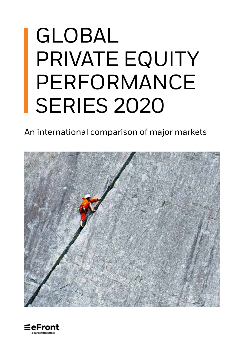# GLOBAL PRIVATE EQUITY PERFORMANCE SERIES 2020

An international comparison of major markets



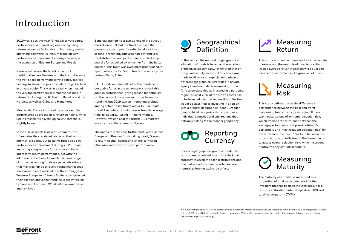## Geographical Definition









In this report, the method for geographical allocation of funds is based on the location of the investee company, rather than that of the private equity investor. This choice was made to allow for an explicit comparison of different geographical strategies in private equity investment decision-making. For a fund to be classified as invested in a particular region, at least 70% of the fund's assets has to be invested into that region. If not, the fund would be classified as investing in a region with a broader geographical span . Broader geographical categories also encompass individual countries and sub-regions that naturally belong to the broader geography.

For each geographical group of funds, the returns are calculated in terms of the local currency in which the cash distributions and residual valuations were reported in order to neutralize foreign exchange effects.

This study defines risk as the difference in performance between the best and worst performing funds in any given region. It uses two measures: one of 'extreme' selection risk, which refers to the difference between the average performance of top and bottom 5% performers and 'most frequent selection risk', for the difference in either IRR or TVPI between the top and bottom quartile funds. The former helps to assess overall selection risk, while the second neutralizes any statistical outliers.

This study will use the time-sensitive internal rate of return, and the multiple of invested capital. Pooled average return indicators will be used to assess the performance of a given set of funds.

The maturity of a market is measured as a proportion of total value generated for the investors that has been distributed back. It is a ratio of capital distributed-to-paid-in (DPI) and total-value-paid-in (TVPI).

**1** A fund that has at least 70% of portfolio value invested in French companies is considered to have "France" as a geographical strategy. If it has 40% of portfolio invested in French companies, 35% in UK companies and the rest in other regions, it is considered to have "Western Europe" as a strategy.



## Introduction

2019 was a positive year for global private equity performance, with most regions seeing rising returns as well as falling risk. In fact, every market operating below the risk/return trendline saw performance improvements during the year, with the exception of Eastern Europe and Russia.

It was also the year the Nordics overtook traditional leaders Benelux and the UK, to become the world's top performing private equity market, helping Western Europe consolidate its global lead in private equity. This was in a year when most of the very top performers saw modest declines in returns, including the UK, the US, Benelux and the Nordics, as well as China and Hong Kong.

Meanwhile, France improved its private equity performance above the risk/return trendline, while Spain crossed the psychological 8% threshold, slightly below it.

In the sub-asset class of venture capital, the US remains the stand-out leader on the back of internet-era gains, but its active funds also saw performance improvement during 2019. China and Hong Kong venture funds show similarly impressive return performance, but with the additional attraction of a much narrower range of outcomes among funds – a paper advantage that may wear off as this very young market sees more investments realised over the coming years. Western European VC funds further strengthened their position above the trendline, closely tracked by Southern European VC, albeit at a lower return and risk level.

Benelux retained its crown as king of the buyout markets in 2019, but the Nordics closed the gap with a strong year for exits, to take a close second. French buyouts also had a strong year for distributions and performance, while its top quartile funds pulled away further from the bottom quartile. This trend was even more pronounced in Spain, where the top 5% of funds now outstrip the bottom 5% by 1.24x.

DACH funds remain well below the trendline, but active funds in the region saw a remarkable jump in performance, giving reason for optimism. On the face of it, Italy is even further below the trendline, but 2019 saw an interesting evolution among active Italian funds with a TVPI multiple rise of 1.4x, while trimming a year from its average time-to-liquidity, juicing IRR performance. However, few can beat the British LBO market's velocity of capital, at around 3 years.

The opposite is the case further east, with Eastern Europe and Russian funds taking nearly 5 years to return capital, depressing (in IRR terms) an otherwise solid cash-on-cash performance.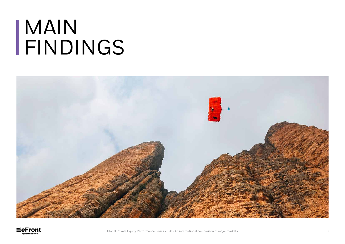# MAIN FINDINGS



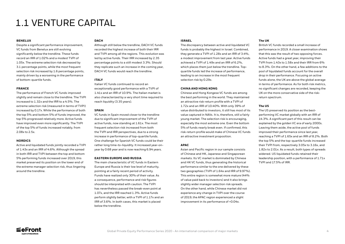## 1.1 VENTURE CAPITAL

### **BENELUX**

Despite a significant performance improvement, VC funds from Benelux are still evolving significantly below the trendline. These funds record an IRR of 1.02% and a modest TVPI of 1.05x. The extreme selection risk decreased by 3.1 percentage points, while the most frequent selection risk increased by 1.6 percentage points, mainly driven by a worsening in the performance of bottom-quartile funds.

### **FRANCE**

The performance of French VC funds improved slightly and remain close to the trendline. The TVPI increased to 1.32x and the IRR to a 4.5%. The extreme selection risk (measured in terms of TVPI) increased by 0.17x. While the performance of both the top 5% and bottom 5% of funds improved, the top 5% progressed relatively more. Active funds have improved even more significantly. The TVPI of the top 5% of funds increased notably, from 2.08x to 2.5x.

#### **NORDICS**

Active and liquidated funds jointly recorded a TVPI of 1.43x and an IRR of 4.6%. Although the spread in both IRR and TVPI between the top and bottom 5% performing funds increased over 2019, this market preserved its position on the lower end of the extreme manager selection risk, thus lingering around the trendline.

### **DACH**

Although still below the trendline, DACH VC funds recorded the highest increase of both their IRR and TVPI among all the regions. This evolution was led by active funds. Their IRR increased by 2.35 percentage points to a still modest 3.3%. Should they replicate such an increase in the coming year, DACH VC funds would reach the trendline.

### **ITALY**

Italian VC funds continued to record an exceptionally good performance with a TVPI of 1.41x and an IRR of 10.9%. The Italian market is also characterized by a very short time required to reach liquidity (3.35 years).

### **SPAIN**

VC funds in Spain moved closer to the trendline due to significant improvement of the TVPI of active funds, now standing at 1.61x. The most frequent selection risk increased from both the TVPI and IRR perspectives, due to a strong increase in performance of top-quartile funds. One challenge for Spanish VC funds could be their rather long time-to-liquidity. It increased year-onyear by 0.68 year and is now reaching 6.94 years.

#### **EASTERN EUROPE AND RUSSIA**

The main characteristic of VC funds in Eastern Europe and Russia is their low level of maturity, pointing at a fairly recent period of activity. Funds have realized only 30% of their value. As a consequence, performance and risk figures should be interpreted with caution. The TVPI has nevertheless passed the break-even point at 1.07x, and the IRR reached 1.3%. Active funds perform slightly better, with a TVPI of 1.17x and an IRR of 3.6%. In both cases, this market is placed below the trendline.

### **ISRAEL**

The discrepancy between active and liquidated VC funds is probably the highest in Israel. Combined, they generate a TVPI of 1.28x and an IRR of 3.4%, a modest improvement from last year. Active funds achieved a TVPI of 1.49x and an IRR of 6.2%, which places them just below the trendline. Topquartile funds led the increase of performance, leading to an increase in the most frequent selection risk by 0.29x.

### **CHINA AND HONG KONG**

Chinese and Hong Kongese VC funds are among the best performing in the world. They maintained an attractive risk-return profile with a TVPI of 1.72x and an IRR of 10.40%. With only 39% of value distributed to investors, it still has most of its value captured in NAVs. It is, therefore, still a fairly young market. The selection risk is encouraging, especially the most extreme one. Even the bottom 5% of funds nearly break even. If confirmed, this risk-return profile would make of Chinese VC funds an attractive investment proposition.

### **APAC**

Asian and Pacific region in our sample consists of Chinese and HK, Japanese and Singaporean markets. Its VC market is dominated by Chinese and HK VC funds, thus generating the historical performance similar to the one delivered by these two geographies (TVPI of 1.64x and IRR of 9.97%). This entire region is somewhat more mature (44% of value paid back to investors) and it also brings slightly wider manager selection risk spreads. On the other hand, while Chinese market did not experience any change in TVPI over the course of 2019, the APAC region experienced a slight improvement in its performance of +0.04x.



### **The UK**

British VC funds recorded a small increase of performance in 2019. A closer examination shows that this was the result of two opposing forces. Active funds had a great year, improving their TVPI from 1.43x to 1.58x and their IRR from 6% to 8.3%. On the other hand, a few additions to the pool of liquidated funds account for the overall drop in their performance. Focusing on active funds alone, the UK are above the global average in terms of performance. As for both risk metrics, no significant changes are recorded, keeping the UK on the more conservative side of the riskreturn spectrum.

### **The US**

The US preserved its position as the bestperforming VC market globally with an IRR of 14.3%. A significant part of this result can be explained by the golden VC era of early 2000s. Leaving them aside, the active pool of funds improved their performance since last year, reaching a TVPI of 1.65x and an IRR of 8.2%. Both the top 5% and the top-quartile funds increased their TVPI from, respectively 3.05x to 3.16x, and 1.82x to 2.01x. As a result, both types of spreads widened. US liquidated funds retained their leadership position, with a performance of 1.71x TVPI and 17.5% of IRR.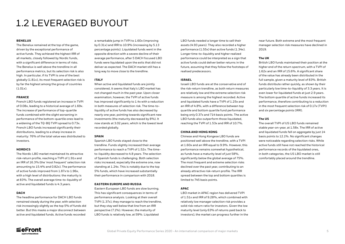## 1.2 LEVERAGED BUYOUT

### **BENELUX**

The Benelux remained at the top of the game, driven by the exceptional performance of active funds. They achieved the highest IRR of all markets, closely followed by Nordic funds, with a significant difference in terms of risks. The Benelux is well above the trendline in all performance metrics, but its selection risk is also high. In particular, if its TVPI is one of the best globally (1.81x), its most frequent selection risk is by far the highest among the group of countries (1.01x).

### **FRANCE**

French LBO funds registered an increase in TVPI of 0.08x, leading to a historical average of 1.69x. The increase of performance of top-quartile funds combined with the slight worsening in performance of the bottom-quartile ones lead to a widening of the TQ-BQ TVPI spread to 0.73x. French LBO funds increased significantly their distributions, leading to a sharp increase in maturity: 76% of the total value was distributed to investors.

#### **NORDICS**

The Nordic LBO market maintained its attractive risk-return profile, reaching a TVPI of 1.91x and an IRR of 16.3% (the 'most frequent' selection risk amounting to 15.4% and 0.82x). The performance of active funds improved from 1.87x to 1.96x, with a high level of distributions: the maturity is at 83%. The overall average time-to-liquidity of active and liquidated funds is 4.3 years.

### **DACH**

The headline performance for DACH LBO funds remained steady during the year, with selection risk increasingly slightly as the top 5% of funds did better. But this masks a major disconnect between active and liquidated funds. Active funds recorded

a remarkable jump in TVPI to 1.60x (improving by 0.31x) and IRR to 10.9% (increasing by 5.13 percentage points). Liquidated funds went in the opposite direction with a severe decline of their average performance, after 5 DACH focused LBO funds were liquidated upon the exits that did not deliver as expected. The DACH market still has a long way to move close to the trendline.

### **ITALY**

When active and liquidated funds are jointly considered, it seems that Italy's LBO market has not changed much in the past year. Upon closer examination, however, the TVPI of active funds has improved significantly to 1.4x with a reduction in both measures of selection risk. The time-toliquidity of active funds has also decreased by nearly one year, pointing towards significant new investments (the maturity decreased by 8%). It now stands at 3.02 years, which is the lowest level recorded globally.

### **SPAIN**

Spanish LBO funds stayed close to the trendline. Funds slightly increased their average performance to reach a TVPI of 1.52x. The timeto-liquidity decreased to 4.8 years. The selection of Spanish funds is challenging. Both selection risks increased, especially the extreme one, now standing at 1.24x. This is notably due to the top 5% funds, which have increased substantially their performance in comparison with 2018.

### **EASTERN EUROPE AND RUSSIA**

Eastern European LBO funds are slow burning. This has significant consequences in terms of performance analysis. Looking at their overall TVPI (1.37x), they manage to reach the trendline, but they stay well below that line from an IRR perspective (7.1%). However, the maturity of LBO funds is relatively low, at 59%. Liquidated

LBO funds needed a longer time to sell their assets (4.93 years). They also recorded a higher performance (1.55x) than active funds (1.34x). Longer time-to-liquidity and higher realized performance could be interpreted as a sign that active funds could deliver better returns in the future, assuming that they follow the footsteps of realised predecessors.

### **ISRAEL**

Israeli LBO funds are at the conservative end of the risk-return trendline, as both return measures are relatively low and the extreme selection risk measure is among the highest recorded. Active and liquidated funds have a TVPI of 1.25x and an IRR of 4.8%, with a difference between top quartile and bottom quartile fund performance being only 0.37x and 714 basis points. The active LBO funds also outperform those liquidated, reaching the TVPI of 1.53x and IRR of 10.7%.

### **CHINA AND HONG KONG**

Chinese and Hong Kongese LBO funds are positioned well above the trendline, with a TVPI at 1.60x and an IRR equal to 9.9%. However, this performance remains somewhat hypothetical, as funds have a maturity level of just 58%, significantly below the global average of 75%. The most frequent and extreme selection risks declined over the past year, contributing to an already attractive risk-return profile. The IRR spread between the top and bottom quartiles is limited to 745 basis points.

### **APAC**

LBO market in APAC region has delivered TVPI of 1.51x and IRR of 9.28%, which combined with relatively low manager selection risk provides a solid risk-return ratio for investors. Given the low maturity level (only 63% of returns paid back to investors), the market can progress further in the



near future. Both extreme and the most frequent manager selection risk measures have declined in 2019.

## **The UK**

British LBO funds maintained their position at the higher end of the return spectrum, with a TVPI of 1.62x and an IRR of 15.6%. A significant share of the value has already been distributed in the full sample, given a maturity level of 83%. British funds distribute rather quickly, as shown by their particularly low time-to-liquidity of 3.3 years. It is even lower for liquidated funds at just 2.9 years. The bottom quartile of active funds increased its performance, therefore contributing to a reduction in the most frequent selection risk of 0.17x (TVPI) and six percentage points (IRR).

## **The US**

The overall TVPI of US LBO funds remained stable year-on-year, at 1.58x. The IRR of active and liquidated funds fell on aggregate by just 14 basis points to 12.1%. No significant changes were noticeable regarding selection risks. While active funds still have not reached the historical performance records of the liquidated ones, in both categories, the US LBO market is still comfortably placed around the trendline.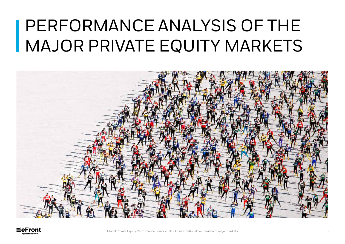# PERFORMANCE ANALYSIS OF THE MAJOR PRIVATE EQUITY MARKETS



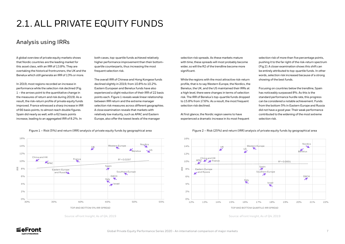A global overview of private equity markets shows that Nordic countries are the leading market for this asset class, with an IRR of 13.8%. They are overtaking the historical frontrunners, the UK and the Benelux which still generate an IRR of 13% or more.

In 2019, most regions recorded an increase in performance while the selection risk declined (Fig. 1 – the arrows point to the quantitative change in the measures of return and risk during 2019). As a result, the risk-return profile of private equity funds improved. France witnessed a sharp increase in IRR of 66 basis points, to almost reach double figures. Spain did nearly as well, with a 62 basis points increase, leading to an aggregated IRR of 8.2%. In

both cases, top-quartile funds achieved relatively higher performance improvement than their bottomquartile counterparts, thus increasing the most frequent selection risk.

The overall IRR of Chinese and Hong Kongese funds declined slightly in 2019, from 10.8% to 10.2%. Eastern European and Benelux funds have also experienced a slight reduction of their IRR of 22 basis points each. Figure 1 reveals weak linear relationship between IRR return and the extreme manager selection risk measures across different geographies. A close examination reveals that markets with relatively low maturity, such as APAC and Eastern Europe, also offer the lowest levels of the manager

Figure 1 – Risk (5%) and return (IRR) analysis of private equity funds by geographical area Figure 2 – Risk (25%) and return (IRR) analysis of private equity funds by geographical area

## 2.1. ALL PRIVATE EQUITY FUNDS

## Analysis using IRRs

Source: eFront Insight, As of Q4, 2019 Source: eFront Insight, As of Q4, 2019



While the regions with the most attractive risk-return profile, that is to say Western Europe, the Nordics, the Benelux, the UK, and the US maintained their IRRs at a high level, there were changes in terms of selection risk. The IRR of Benelux's top-quartile funds dropped to 15.8% from 17.6%. As a result, the most frequent selection risk declined.

At first glance, the Nordic region seems to have experienced a dramatic increase in its most frequent

selection risk of more than five percentage points, pushing it to the far right of the risk-return spectrum (Fig 2). A closer examination shows this shift can be entirely attributed to top-quartile funds. In other words, selection risk increased because of a strong showing of the best funds.

Focusing on countries below the trendline, Spain has noticeably surpassed 8%. As this is the standard performance hurdle rate, this progress can be considered a notable achievement. Funds from the bottom 5% in Eastern Europe and Russia did not have a good year. Their weak performance contributed to the widening of the most extreme selection risk.

TOP AND BOTTOM 5% IRR SPREAD TOP AND BOTTOM QUARTILE IRR SPREAD Nordics  $\searrow$ US  $\blacktriangleright$  France Eastern Europe and Russia China and HK  $\mathcal{V}$ APAC  $0%$ 2%  $4%$  $6%$ 8% 10% 12% 14% 16% IRR





Italy



US

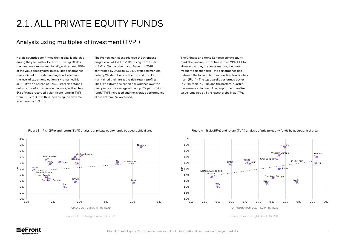## Analysis using multiples of investment (TVPI)

Nordic countries confirmed their global leadership during the year, with a TVPI of 1.86x (Fig. 3). It is the most mature market globally, with around 90% of the value already distributed. This performance is associated with a demanding fund selection: the level of extreme selection risk remained high in 2019 with a spread of 3.46x. Israel also stands out in terms of extreme selection risk, as their top 5% of funds recorded a significant jump in TVPI from 2.76x to 3.56x, thus increasing the extreme selection risk to 3.33x.

The French market experienced the strongest progression of TVPI in 2019, rising from 1.53x to 1.61x. On the other hand, Benelux's TVPI contracted by 0.05x to 1.70x. Developed markets, notably Western Europe, the UK, and the US, maintained their attractive risk-return profiles. The UK's extreme selection risk widened over the past year, as the average of the top 5% performing funds' TVPI increased and the average performance of the bottom 5% worsened.

The Chinese and Hong Kongese private equity markets remained attractive with a TVPI of 1.66x. However, as they gradually mature, the most frequent selection risk – the performance gap between the top and bottom quartiles funds – has risen (Fig. 4). The top quartile performed better in 2019 than in 2018, and the bottom-quartile performance declined. The proportion of realized value remained still the lowest globally at 47%.

Figure 3 – Risk (5%) and return (TVPI) analysis of private equity funds by geographical area Figure 4 – Risk (25%) and return (TVPI) analysis of private equity funds by geographical area

Source: eFront Insight, As of Q4, 2019 Source: eFront Insight, As of Q4, 2019



## 2.1. ALL PRIVATE EQUITY FUNDS





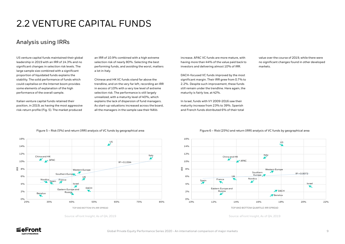## 2.2 VENTURE CAPITAL FUNDS

## Analysis using IRRs

US venture capital funds maintained their global leadership in 2019 with an IRR of 14.3% and no significant changes in selection risk levels. The large sample size combined with a significant proportion of liquidated funds explains the stability. The solid performance of funds which could capitalise on the Internet boom provides some elements of explanation of the high performance of the overall sample.

Italian venture capital funds retained their position, in 2019, as having the most aggressive risk-return profile (Fig. 5). The market produced

an IRR of 10.9% combined with a high extreme selection risk of nearly 80%. Selecting the best performing funds, and avoiding the worst, matters a lot in Italy.

Chinese and HK VC funds stand far above the trendline, and on the very far left, recording an IRR in excess of 10% with a very low level of extreme selection risk. The performance is still largely unrealized, with a maturity level of 40%, which explains the lack of dispersion of fund managers. As start-up valuations increased across the board, all the managers in the sample saw their NAVs

increase. APAC VC funds are more mature, with having more than 44% of the value paid back to investors and delivering almost 10% of IRR.

DACH-focused VC funds improved by the most significant margin. Their IRR grew from 0.7% to 2.2%. Despite such improvement, these funds still remain under the trendline. Here again, the maturity is fairly low, at 42%.

In Israel, funds with VY 2009-2016 saw their maturity increase from 23% to 39%. Spanish and French funds distributed 6% of their total value over the course of 2019, while there were no significant changes found in other developed markets.



#### Figure 5 – Risk (5%) and return (IRR) analysis of VC funds by geographical area Figure 6 – Risk (25%) and return (IRR) analysis of VC funds by geographical area





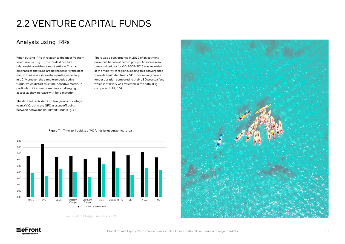## Analysis using IRRs

Source: eFront Insight, As of Q4, 2019







When putting IRRs in relation to the most frequent selection risk (Fig. 6), the modest positive relationship vanishes almost entirely. This fact emphasizes that IRRs are not necessarily the best metric to assess a risk-return profile, especially in VC. Moreover, the sample embeds active funds, which distort this time-sensitive metric. In particular, IRR spreads are more challenging to assess as they increase with fund maturity.

The data set is divided into two groups of vintage years (VY), using the GFC as a cut-off point between active and liquidated funds (Fig. 7).

There was a convergence in 2019 of investment durations between the two groups. An increase in time-to-liquidity for VYs 2009-2016 was recorded in the majority of regions, leading to a convergence towards liquidated funds. VC funds usually have a longer duration compared to their LBO peers, a fact which is still very well reflected in the data. (Fig 7 compared to Fig 15).

## 2.2 VENTURE CAPITAL FUNDS

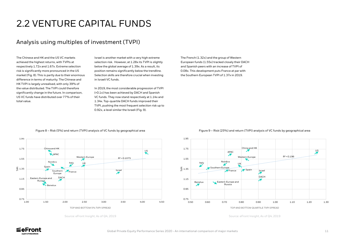The Chinese and HK and the US VC markets achieved the highest returns, with TVPIs at respectively 1.72x and 1.67x. Extreme selection risk is significantly more pronounced in the US market (Fig. 8). This is partly due to their enormous difference in terms of maturity. The Chinese and HK TVPI is largely unrealised, with only 39% of the value distributed. The TVPI could therefore significantly change in the future. In comparison, US VC funds have distributed over 77% of their total value.

Israel is another market with a very high extreme selection risk. However, at 1.28x its TVPI is slightly below the global average of 1.39x. As a result, its position remains significantly below the trendline. Selection skills are therefore crucial when investing in Israeli VC funds.

In 2019, the most considerable progression of TVPI (+0.1x) has been achieved by DACH and Spanish VC funds. They now stand respectively at 1.14x and 1.34x. Top-quartile DACH funds improved their TVPI, pushing the most frequent selection risk up to 0.92x, a level similar the Israeli (Fig. 9).

The French (1.32x) and the group of Western European funds (1.55x) tracked closely their DACH and Spanish peers with an increase of TVPI of 0.08x. This development puts France at par with the Southern European TVPI of 1.37x in 2019.

## Analysis using multiples of investment (TVPI)

## 2.2 VENTURE CAPITAL FUNDS

Source: eFront Insight, As of Q4, 2019





### Figure 8 – Risk (5%) and return (TVPI) analysis of VC funds by geographical area



TOP AND BOTTOM QUARTILE TVPI SPREAD





Source: eFront Insight, As of Q4, 2019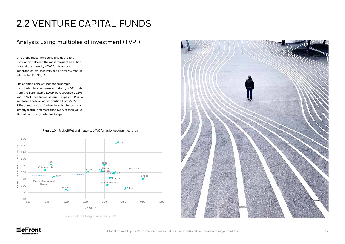## Analysis using multiples of investment (TVPI)

One of the most interesting findings is zero correlation between the most frequent selection risk and the maturity of VC funds across geographies, which is very specific for VC market relative to LBO (Fig. 10).

The addition of new funds to the sample contributed to a decrease in maturity of VC funds from the Benelux and DACH by respectively 21% and 11%. Funds from Eastern Europe and Russia increased the level of distribution from 22% to 32% of total value. Markets in which funds have already distributed more than 60% of their value did not record any notable change.

## 2.2 VENTURE CAPITAL FUNDS

Source: eFront Insight, As of Q4, 2019





Figure 10 – Risk (25%) and maturity of VC funds by geographical area

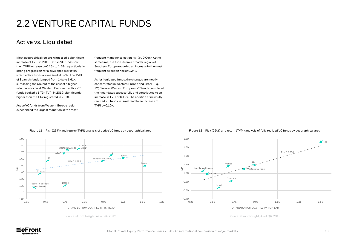## Active vs. Liquidated

Most geographical regions witnessed a significant increase of TVPI in 2019. British VC funds saw their TVPI increase by 0.15x to 1.58x, a particularly strong progression for a developed market in which active funds are realized at 62%. The TVPI of Spanish funds jumped from 1.4x to 1.61x, surpassing the UK, but at the cost of a higher selection risk level. Western European active VC funds booked a 1.73x TVPI in 2019, significantly higher than the 1.6x registered in 2018.

Active VC funds from Western Europe region experienced the largest reduction in the most frequent manager selection risk (by 0.04x). At the same time, the funds from a broader region of Southern Europe recorded an increase in the most frequent selection risk of 0.24x.

As for liquidated funds, the changes are mostly concentrated in Western Europe and Israel (Fig. 12). Several Western European VC funds completed their mandates successfully and contributed to an increase in TVPI of 0.12x. The addition of new fully realized VC funds in Israel lead to an increase of TVPI by 0.10x.

## 2.2 VENTURE CAPITAL FUNDS



### Figure 11 – Risk (25%) and return (TVPI) analysis of active VC funds by geographical area

Source: eFront Insight, As of Q4, 2019









TOP AND BOTTOM QUARTILE TVPI SPREAD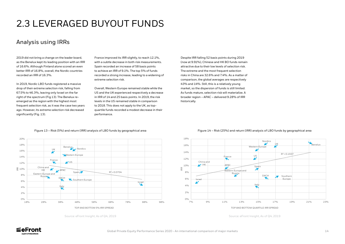## 2.3 LEVERAGED BUYOUT FUNDS

## Analysis using IRRs

2019 did not bring a change on the leader board, as the Benelux kept its leading position with an IRR of 16.6%. Although Finland alone scored an even better IRR of 16.8%, overall, the Nordic countries recorded an IRR of 16.3%.

In 2019, Nordic LBO funds registered a massive drop of their extreme selection risk, falling from 67.5% to 46.3%, leaving only Israel on the far right of the spectrum (Fig 13). The Benelux reemerged as the region with the highest most frequent selection risk, as it was the case two years ago. However, its extreme selection risk decreased significantly (Fig. 13).

France improved its IRR slightly, to reach 12.1%, with a subtle decrease in both risk measurements. Spain recorded an increase of 58 basis points to achieve an IRR of 9.1%. The top 5% of funds recorded a strong increase, leading to a widening of extreme selection risk.

Overall, Western Europe remained stable while the US and the UK experienced respectively a decrease in IRR of 14 and 25 basis points. In 2019, the risk levels in the US remained stable in comparison to 2018. This does not apply to the UK, as topquartile funds recorded a modest decrease in their performance.

Despite IRR falling 52 basis points during 2019 (now at 9.91%), Chinese and HK BO funds remain attractive due to their low levels of selection risk. The extreme and the most frequent selection risks in China are 32.6% and 7.4%. As a matter of comparison, the global averages are respectively 43% and 14%. Still, this is a relatively young market, so the dispersion of funds is still limited. As funds mature, selection risk will materialize. A broader region – APAC – delivered 9.28% of IRR historically.

#### Figure 13 – Risk (5%) and return (IRR) analysis of LBO funds by geographical area Figure 14 – Risk (25%) and return (IRR) analysis of LBO funds by geographical area



Source: eFront Insight, As of Q4, 2019 Source: eFront Insight, As of Q4, 2019



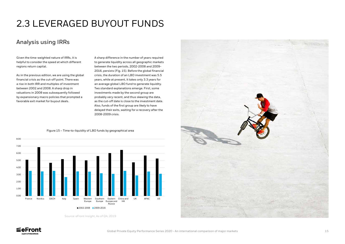## 2.3 LEVERAGED BUYOUT FUNDS

## Analysis using IRRs

Given the time-weighted nature of IRRs, it is helpful to consider the speed at which different regions return capital.

As in the previous edition, we are using the global financial crisis as the cut-off point. There was a rise in both IRR and multiples of investment between 2002 and 2008. A sharp drop in valuations in 2008 was subsequently followed by expansionary macro policies that prompted a favorable exit market for buyout deals.

### 0.00 1.00 2.00 3.00 4.00 5.00 6.00 7.00 8.00 France Nordics DACH Italy Spain Western Europe Southern Europe Eastern China and Europe and Russia HK  $UK$   $\Delta P \Delta C$ 2002-2008 2009-2016

A sharp difference in the number of years required to generate liquidity across all geographic markets between the two periods, 2002-2008 and 2009- 2016, persists (Fig. 15). Before the global financial crisis, the duration of an LBO investment was 5.5 years, while at present, it takes only 3.3 years for an average global LBO fund to generate liquidity. Two standard explanations emerge. First, some investments made by the second group are probably very recent, and thus skewing the data, as the cut-off date is close to the investment date. Also, funds of the first group are likely to have delayed their exits, waiting for a recovery after the 2008-2009 crisis.

Source: eFront Insight, As of Q4, 2019





Figure 15 – Time-to-liquidity of LBO funds by geographical area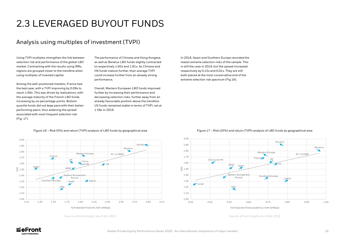## Analysis using multiples of investment (TVPI)

## 2.3 LEVERAGED BUYOUT FUNDS

Using TVPI multiples strengthen the link between selection risk and performance of the global LBO market. Contrasting with the results using IRRs, regions are grouped closer to the trendline when using multiples of invested capital.

Among the well-positioned markets, France had the best year, with a TVPI improving by 0.08x to reach 1.69x. This was driven by realizations, with the average maturity of the French LBO funds increasing by six percentage points. Bottom quartile funds did not keep pace with their betterperforming peers, thus widening the spread associated with most frequent selection risk (Fig. 17).

The performance of Chinese and Hong Kongese, as well as Benelux LBO funds slightly contracted to respectively 1.60x and 1.81x. As Chinese and HK funds mature further, their average TVPI could increase further from an already strong performance.

Overall, Western European LBO funds improved further by increasing their performance and decreasing selection risks, further away from an already favourable position above the trendline. US funds remained stable in terms of TVPI, set at 1.58x in 2019.



### Figure 16 – Risk (5%) and return (TVPI) analysis of LBO funds by geographical area

In 2018, Spain and Southern Europe recorded the lowest extreme selection risks of the sample. This is still the case in 2019, but the spread increased respectively by 0.15x and 0.01x. They are still both placed at the most conservative end of the extreme selection risk spectrum (Fig 16).









Source: eFront Insight, As of Q4, 2019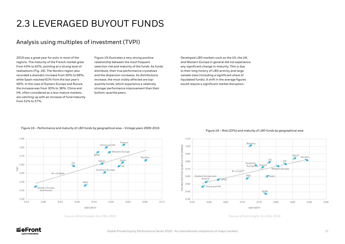## Analysis using multiples of investment (TVPI)

2019 was a great year for exits in most of the regions. The maturity of the French market grew from 43% to 62%, pointing at a strong level of realisations (Fig. 18). The Nordics region also recorded a dramatic increase from 50% to 68%, while Spain reached 61% from the last year's 49%. In the case of Eastern Europe and Russia, the increase was from 30% to 36%. China and HK, often considered as a less mature markets, are catching up with an increase of fund maturity from 51% to 57%.

Figure 19 illustrates a very strong positive relationship between the most frequent selection risk and maturity of the funds. As funds distribute, their true performance crystalizes and the dispersion increases. As distributions increase, the most visibly affected are topquartile funds, which experience a relatively stronger performance improvement than their bottom-quartile peers.

Developed LBO markets such as the US, the UK, and Western Europe in general did not experience any significant change in maturity. This is due to their long history of LBO activity and large sample sizes (including a significant share of liquidated funds). A shift in the average figures would require a significant market disruption.

## 2.3 LEVERAGED BUYOUT FUNDS

Source: eFront Insight, As of Q4, 2019



Figure 18 – Performance and maturity of LBO funds by geographical area – Vintage years 2009-2016

Source: eFront Insight, As of Q4, 2019

Figure 19 – Risk (25%) and maturity of LBO funds by geographical area

MATURITY



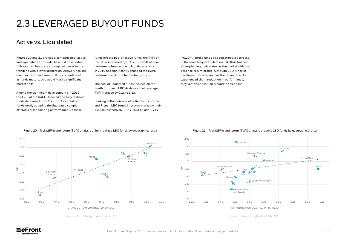## Active vs. Liquidated

## 2.3 LEVERAGED BUYOUT FUNDS

Figures 20 and 21 provide a comparison of active and liquidated LBO funds. As a first observation, fully realized funds are aggregated closer to the trendline with a lower dispersion. Active funds are much more spread around. If this is confirmed as funds mature, this would mark a significant market shift.

Among the significant developments in 2019, the TVPI of the DACH-focused and fully realized funds decreased from 1.4x to 1.12x. Realized funds newly added to the liquidated sample offered a disappointing performance. As these

funds left the pool of active funds, the TVPI of the latter increased by 0.31x. The shift of poor performers from active to liquidated status in 2019 has significantly changed the overall performance picture for the two groups.

The pool of liquidated funds focused on the South European LBO deals saw their average TVPI increase by 0.1x to 1.1x.

Looking at the universe of active funds, Nordic and French LBO funds improved markedly their TVPI to respectively 1.96x (+0.09x) and 1.71x

(+0.10x). Nordic funds also registered a decrease in the most frequent selection risk, thus further strengthening their status as the market with the best risk-return profile. Although LBO funds in developed markets, such as the UK and the US, experienced slight reduction in performance, they kept their position around the trendline.





Source: eFront Insight, As of Q4, 2019









TOP AND BOTTOM QUARTILE TVPI SPREAD

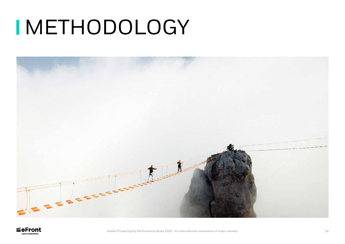# **INETHODOLOGY**



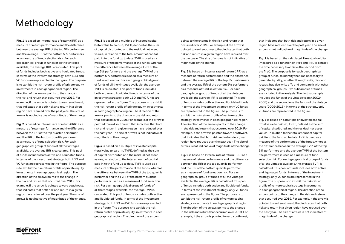**Fig. 1** is based on Internal rate of return (IRR) as a measure of return performance and the difference between the average IRR of the top 5% performers and the average IRR of the bottom 5% performers as a measure of fund selection risk. For each geographical group of funds of all the vintages available, the average IRR is calculated. This pool of funds includes both active and liquidated funds. In terms of the investment strategy, both LBO and VC funds are represented in the figure. The purpose is to exhibit the risk-return profile of private equity investments in each geographical region. The direction of the arrows points to the change in the risk and return that occurred over 2019. For example, if the arrow is pointed toward southwest, that indicates that both risk and return in a given region have reduced over the past year. The size of arrows is not indicative of magnitude of the change.

**Fig. 2** is based on Internal rate of return (IRR) as a measure of return performance and the difference between the IRR of the top quartile performer and the IRR of the bottom quartile performer as a measure of fund selection risk. For each geographical group of funds of all the vintages available, the average IRR is calculated. This pool of funds includes both active and liquidated funds. In terms of the investment strategy, both LBO and VC funds are represented in the figure. The purpose is to exhibit the risk-return profile of private equity investments in each geographical region. The direction of the arrows points to the change in the risk and return that occurred over 2019. For example, if the arrow is pointed toward southwest, that indicates that both risk and return in a given region have reduced over the past year. The size of arrows is not indicative of magnitude of the change. **Fig. 3** is based on a multiple of invested capital (total value to paid-in, TVPI), defined as the sum of capital distributed and the residual net asset values, in relation to the total amount of capital paid in to the fund up to date. TVPI is used as a measure of the performance of the funds, whereas the difference between the average TVPI of the top 5% performers and the average TVPI of the bottom 5% performers is used as a measure of fund selection risk. For each geographical group of funds of all the vintages available, the average TVPI is calculated. This pool of funds includes both active and liquidated funds. In terms of the investment strategy, both LBO and VC funds are represented in the figure. The purpose is to exhibit the risk-return profile of private equity investments in each geographical region. The direction of the arrows points to the change in the risk and return that occurred over 2019. For example, if the arrow is pointed toward southwest, that indicates that both risk and return in a given region have reduced over the past year. The size of arrows is not indicative of magnitude of the change.

**Fig. 4** is based on a multiple of invested capital (total value to paid-in, TVPI), defined as the sum of capital distributed and the residual net asset values, in relation to the total amount of capital paid in to the fund up to date. TVPI is used as a measure of the performance of the funds, whereas the difference between the TVPI of the top quartile performer and the TVPI of the bottom quartile performer is used as a measure of fund selection risk. For each geographical group of funds of all the vintages available, the average TVPI is calculated. This pool of funds includes both active and liquidated funds. In terms of the investment strategy, both LBO and VC funds are represented in the figure. The purpose is to exhibit the riskreturn profile of private equity investments in each geographical region. The direction of the arrows

points to the change in the risk and return that occurred over 2019. For example, if the arrow is pointed toward southwest, that indicates that both risk and return in a given region have reduced over the past year. The size of arrows is not indicative of magnitude of the change.

**Fig. 5** is based on Internal rate of return (IRR) as a measure of return performance and the difference between the average IRR of the top 5% performers and the average IRR of the bottom 5% performers as a measure of fund selection risk. For each geographical group of funds of all the vintages available, the average IRR is calculated. This pool of funds includes both active and liquidated funds. In terms of the investment strategy, only VC funds are represented in the figure. The purpose is to exhibit the risk-return profile of venture capital strategy investments in each geographical region. The direction of the arrows points to the change in the risk and return that occurred over 2019. For example, if the arrow is pointed toward southwest, that indicates that both risk and return in a given region have reduced over the past year. The size of arrows is not indicative of magnitude of the change.

**Fig. 6** is based on Internal rate of return (IRR) as a measure of return performance and the difference between the IRR of the top quartile performer and the IRR of the bottom quartile performer as a measure of fund selection risk. For each geographical group of funds of all the vintages available, the average IRR is calculated. This pool of funds includes both active and liquidated funds. In terms of the investment strategy, only VC funds are represented in the figure. The purpose is to exhibit the risk-return profile of venture capital strategy investments in each geographical region. The direction of the arrows points to the change in the risk and return that occurred over 2019. For example, if the arrow is pointed toward southwest,



that indicates that both risk and return in a given region have reduced over the past year. The size of arrows is not indicative of magnitude of the change.

**Fig. 7** is based on the calculated Time-to-liquidity (measured as a function of TVPI and IRR, to extract the time necessary to achieve the second from the first). The purpose is for each geographical group of funds, to identify the time necessary to generate liquidity, whether through exits, dividend recaps, but also write offs and compare it with other geographical groups. Two subsamples of funds are included in the analysis. The first subsample includes the funds of the vintage years (2002- 2008) and the second one the funds of the vintage years (2009-2016). In terms of the strategy, only VC funds are represented in the figure.

**Fig. 8** is based on a multiple of invested capital (total value to paid-in, TVPI), defined as the sum of capital distributed and the residual net asset values, in relation to the total amount of capital paid in to the fund up to date. TVPI is used as a measure of the performance of the funds, whereas the difference between the average TVPI of the top 5% performers and the average TVPI of the bottom 5% performers is used as a measure of fund selection risk. For each geographical group of funds of all the vintages available, the average TVPI is calculated. This pool of funds includes both active and liquidated funds. In terms of the investment strategy, only VC funds are represented in the figure. The purpose is to exhibit the risk-return profile of venture capital strategy investments in each geographical region. The direction of the arrows points to the change in the risk and return that occurred over 2019. For example, if the arrow is pointed toward southwest, that indicates that both risk and return in a given region have reduced over the past year. The size of arrows is not indicative of magnitude of the change.

## Methodology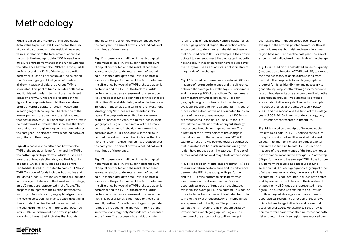**Fig. 9** is based on a multiple of invested capital (total value to paid-in, TVPI), defined as the sum of capital distributed and the residual net asset values, in relation to the total amount of capital paid-in to the fund up to date. TVPI is used as a measure of the performance of the funds, whereas the difference between the TVPI of the top quartile performer and the TVPI of the bottom quartile performer is used as a measure of fund selection risk. For each geographical group of funds of all the vintages available, the average TVPI is calculated. This pool of funds includes both active and liquidated funds. In terms of the investment strategy, only VC funds are represented in the figure. The purpose is to exhibit the risk-return profile of venture capital strategy investments in each geographical region. The direction of the arrows points to the change in the risk and return that occurred over 2019. For example, if the arrow is pointed toward southwest, that indicates that both risk and return in a given region have reduced over the past year. The size of arrows is not indicative of magnitude of the change.

**Fig. 10** is based on the difference between the TVPI of the top quartile performer and the TVPI of the bottom quartile performer, which is used as a measure of fund selection risk, and the Maturity of a fund, which is calculated as a ratio of the capital distributed (distributed to paid-in, DPI) and TVPI. This pool of funds includes both active and liquidated funds. All available vintages are included in the analysis. In terms of the investment strategy, only VC funds are represented in the figure. The purpose is to represent the relation between the maturity of funds in each geographical group and the level of selection risk involved with investing in those funds. The direction of the arrows points to the change in the risk and maturity that occurred over 2019. For example, if the arrow is pointed toward southwest, that indicates that both risk

and maturity in a given region have reduced over the past year. The size of arrows is not indicative of magnitude of the change.

**Fig. 11** is based on a multiple of invested capital (total value to paid-in, TVPI), defined as the sum of capital distributed and the residual net asset values, in relation to the total amount of capital paid-in to the fund up to date. TVPI is used as a measure of the performance of the funds, whereas the difference between the TVPI of the top quartile performer and the TVPI of the bottom quartile performer is used as a measure of fund selection risk. This pool of funds is restricted to those that are still active. All available vintages of active funds are included in the analysis. In terms of the investment strategy, only VC funds are represented in the figure. The purpose is to exhibit the risk-return profile of unrealized venture capital funds in each geographical region. The direction of the arrows points to the change in the risk and return that occurred over 2019. For example, if the arrow is pointed toward southwest, that indicates that both risk and return in a given region have reduced over the past year. The size of arrows is not indicative of magnitude of the change.

**Fig. 12** is based on a multiple of invested capital (total value to paid-in, TVPI), defined as the sum of capital distributed and the residual net asset values, in relation to the total amount of capital paid-in to the fund up to date. TVPI is used as a measure of the performance of the funds, whereas the difference between the TVPI of the top quartile performer and the TVPI of the bottom quartile performer is used as a measure of fund selection risk. This pool of funds is restricted to those that are fully realized. All available vintages of liquidated funds are included in the analysis. In terms of the investment strategy, only VC funds are represented in the figure. The purpose is to exhibit the riskreturn profile of fully realized venture capital funds in each geographical region. The direction of the arrows points to the change in the risk and return that occurred over 2019. For example, if the arrow is pointed toward southwest, that indicates that both risk and return in a given region have reduced over the past year. The size of arrows is not indicative of magnitude of the change.

**Fig. 13** is based on Internal rate of return (IRR) as a measure of return performance and the difference between the average IRR of the top 5% performers and the average IRR of the bottom 5% performers as a measure of fund selection risk. For each geographical group of funds of all the vintages available, the average IRR is calculated. This pool of funds includes both active and liquidated funds. In terms of the investment strategy, only LBO funds are represented in the figure. The purpose is to exhibit the risk-return profile of buyout strategy investments in each geographical region. The direction of the arrows points to the change in the risk and return that occurred over 2019. For example, if the arrow is pointed toward southwest, that indicates that both risk and return in a given region have reduced over the past year. The size of arrows is not indicative of magnitude of the change.

**Fig. 14** is based on Internal rate of return (IRR) as a measure of return performance and the difference between the IRR of the top quartile performer and the IRR of the bottom quartile performer as a measure of fund selection risk. For each geographical group of funds of all the vintages available, the average IRR is calculated. This pool of funds includes both active and liquidated funds. In terms of the investment strategy, only LBO funds are represented in the figure. The purpose is to exhibit the risk-return profile of buyout strategy investments in each geographical region. The direction of the arrows points to the change in



the risk and return that occurred over 2019. For example, if the arrow is pointed toward southwest, that indicates that both risk and return in a given region have reduced over the past year. The size of arrows is not indicative of magnitude of the change.

**Fig. 15** is based on the calculated Time-to-liquidity (measured as a function of TVPI and IRR, to extract the time necessary to achieve the second from the first). The purpose is for each geographical group of funds, to identify the time necessary to generate liquidity, whether through exits, dividend recaps, but also write offs and compare it with other geographical groups. Two subsamples of funds are included in the analysis. The first subsample includes the funds of the vintage years (2002- 2008) and the second one the funds of the vintage years (2009-2016). In terms of the strategy, only LBO funds are represented in the figure.

**Fig. 16** is based on a multiple of invested capital (total value to paid-in, TVPI), defined as the sum of capital distributed and the residual net asset values, in relation to the total amount of capital paid in to the fund up to date. TVPI is used as a measure of the performance of the funds, whereas the difference between the average TVPI of the top 5% performers and the average TVPI of the bottom 5% performers is used as a measure of fund selection risk. For each geographical group of funds of all the vintages available, the average TVPI is calculated. This pool of funds includes both active and liquidated funds. In terms of the investment strategy, only LBO funds are represented in the figure. The purpose is to exhibit the risk-return profile of buyout strategy investments in each geographical region. The direction of the arrows points to the change in the risk and return that occurred over 2019. For example, if the arrow is pointed toward southwest, that indicates that both risk and return in a given region have reduced over

## Methodology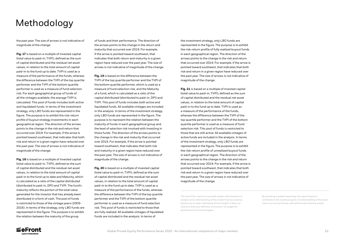the investment strategy, only LBO funds are represented in the figure. The purpose is to exhibit the risk-return profile of fully realized buyout funds in each geographical region. The direction of the arrows points to the change in the risk and return that occurred over 2019. For example, if the arrow is pointed toward southwest, that indicates that both risk and return in a given region have reduced over the past year. The size of arrows is not indicative of magnitude of the change.

**Fig. 21** is based on a multiple of invested capital (total value to paid-in, TVPI), defined as the sum of capital distributed and the residual net asset values, in relation to the total amount of capital paid-in to the fund up to date. TVPI is used as a measure of the performance of the funds, whereas the difference between the TVPI of the top quartile performer and the TVPI of the bottom quartile performer is used as a measure of fund selection risk. This pool of funds is restricted to those that are still active. All available vintages of active funds are included in the analysis. In terms of the investment strategy, only LBO funds are represented in the figure. The purpose is to exhibit the risk-return profile of unrealized buyout funds in each geographical region. The direction of the arrows points to the change in the risk and return that occurred over 2019. For example, if the arrow is pointed toward southwest, that indicates that both risk and return in a given region have reduced over the past year. The size of arrows is not indicative of magnitude of the change.

the past year. The size of arrows is not indicative of magnitude of the change.

**Fig. 17** is based on a multiple of invested capital (total value to paid-in, TVPI), defined as the sum of capital distributed and the residual net asset values, in relation to the total amount of capital paid-in to the fund up to date. TVPI is used as a measure of the performance of the funds, whereas the difference between the TVPI of the top quartile performer and the TVPI of the bottom quartile performer is used as a measure of fund selection risk. For each geographical group of funds of all the vintages available, the average TVPI is calculated. This pool of funds includes both active and liquidated funds. In terms of the investment strategy, only LBO funds are represented in the figure. The purpose is to exhibit the risk-return profile of buyout strategy investments in each geographical region. The direction of the arrows points to the change in the risk and return that occurred over 2019. For example, if the arrow is pointed toward southwest, that indicates that both risk and return in a given region have reduced over the past year. The size of arrows is not indicative of magnitude of the change.

**Fig. 18** is based on a multiple of invested capital (total value to paid-in, TVPI), defined as the sum of capital distributed and the residual net asset values, in relation to the total amount of capital paid-in to the fund up to date and Maturity, which is calculated as a ratio of the capital distributed (distributed to paid-in, DPI) and TVPI. The fund's maturity reflects the portion of the total value generated for the investor that has already been distributed in a form of cash. The pool of funds is restricted to those of the vintage years (2009- 2016). In terms of the strategy, only LBO funds are represented in the figure. The purpose is to exhibit the relation between the maturity of the group

of funds and their performance. The direction of the arrows points to the change in the return and maturity that occurred over 2019. For example, if the arrow is pointed toward southwest, that indicates that both return and maturity in a given region have reduced over the past year. The size of arrows is not indicative of magnitude of the change.

**Fig. 19** is based on the difference between the TVPI of the top quartile performer and the TVPI of the bottom quartile performer, which is used as a measure of fund selection risk, and the Maturity of a fund, which is calculated as a ratio of the capital distributed (distributed to paid-in, DPI) and TVPI. This pool of funds includes both active and liquidated funds. All available vintages are included in the analysis. In terms of the investment strategy, only LBO funds are represented in the figure. The purpose is to represent the relation between the maturity of funds in each geographical group and the level of selection risk involved with investing in those funds. The direction of the arrows points to the change in the risk and maturity that occurred over 2019. For example, if the arrow is pointed toward southwest, that indicates that both risk and maturity in a given region have reduced over the past year. The size of arrows is not indicative of magnitude of the change.

**Fig. 20** is based on a multiple of invested capital (total value to paid-in, TVPI), defined as the sum of capital distributed and the residual net asset values, in relation to the total amount of capital paid-in to the fund up to date. TVPI is used as a measure of the performance of the funds, whereas the difference between the TVPI of the top quartile performer and the TVPI of the bottom quartile performer is used as a measure of fund selection risk. This pool of funds is restricted to those that are fully realized. All available vintages of liquidated funds are included in the analysis. In terms of

## Methodology

By providing a guided reasoning, this report hopes to contribute to the overall progress of understanding of the asset class in an annual format, with all the limits that this entails.



The aim of this report is to provide readers with elements of analysis and understanding of the private finance universe, based only on data collected by eFront Insight. It does not intend to draw any definitive conclusion, nor judge the performance of fund managers.